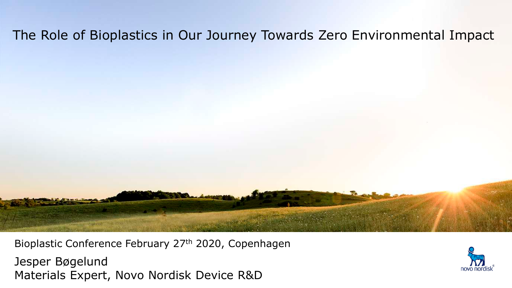#### The Role of Bioplastics in Our Journey Towards Zero Environmental Impact

Bioplastic Conference February 27th 2020, Copenhagen

Jesper Bøgelund Materials Expert, Novo Nordisk Device R&D

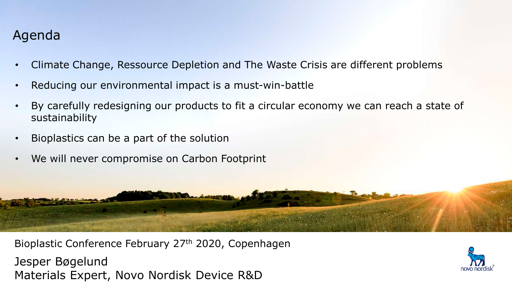#### Agenda

- Climate Change, Ressource Depletion and The Waste Crisis are different problems
- Reducing our environmental impact is a must-win-battle
- By carefully redesigning our products to fit a circular economy we can reach a state of sustainability
- Bioplastics can be a part of the solution
- We will never compromise on Carbon Footprint



Bioplastic Conference February 27th 2020, Copenhagen

Jesper Bøgelund Materials Expert, Novo Nordisk Device R&D

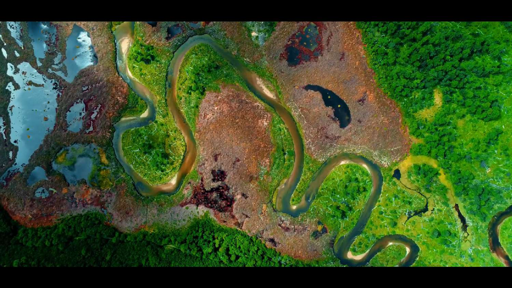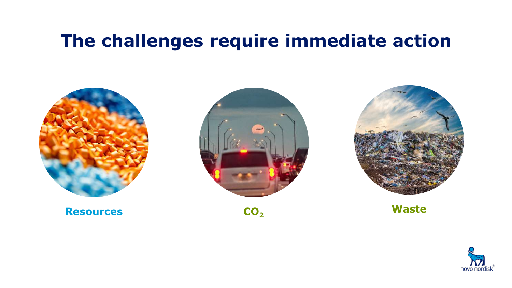#### **The challenges require immediate action**



**Resources**





**CO Waste <sup>2</sup>**

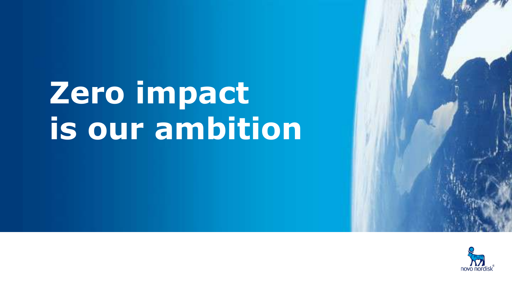## **Zero impact is our ambition**



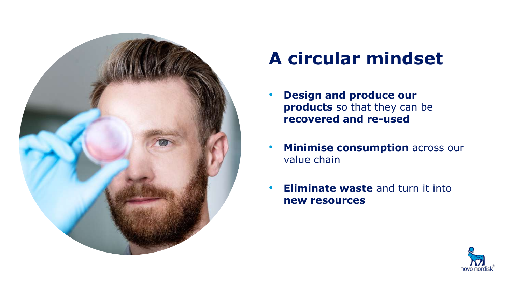

## **A circular mindset**

- **Design and produce our products** so that they can be **recovered and re-used**
- **Minimise consumption** across our value chain
- **Eliminate waste** and turn it into **new resources**

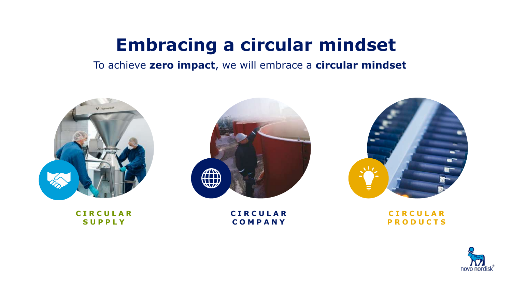#### **Embracing a circular mindset**

To achieve **zero impact**, we will embrace a **circular mindset**



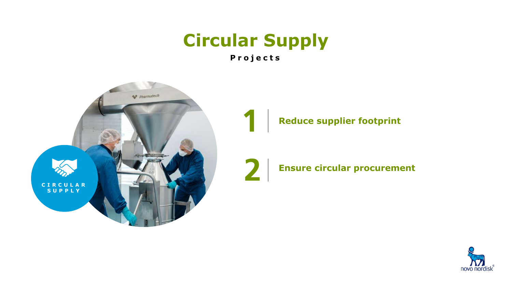## **Circular Supply**

#### **Projects**



**Reduce supplier footprint**



**Ensure circular procurement**

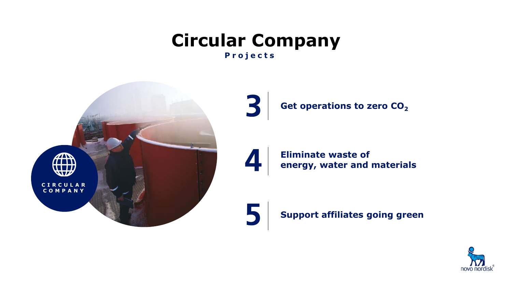## **Circular Company**

#### **Projects**





Get operations to zero  $CO<sub>2</sub>$ 



**Eliminate waste of energy, water and materials**



**Support affiliates going green**

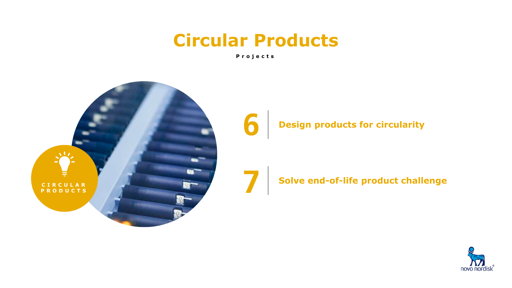#### **Circular Products**

**Projects**



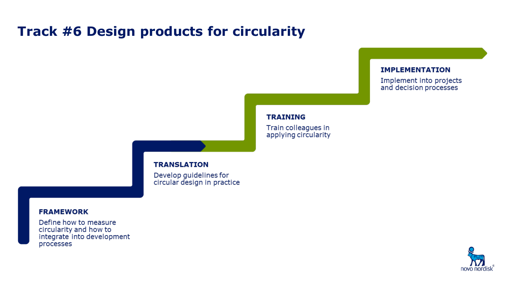#### **Track #6 Design products for circularity**

#### **IMPLEMENTATION**

Implement into projects and decision processes

#### **TRAINING**

Train colleagues in<br>applying circularity

#### **TRANSLATION**

Develop guidelines for<br>circular design in practice

#### **FRAMEWORK**

Define how to measure circularity and how to integrate into development processes

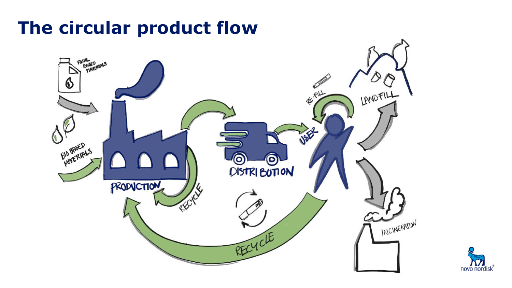## **The circular product flow**



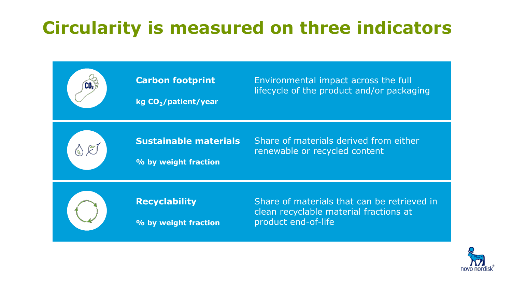## **Circularity is measured on three indicators**

**Carbon footprint**

**kg CO2/patient/year**

Environmental impact across the full lifecycle of the product and/or packaging

 $\mathbb{Q}$ 

**Sustainable materials**

Share of materials derived from either renewable or recycled content

**% by weight fraction**



**Recyclability**

**% by weight fraction**

Share of materials that can be retrieved in clean recyclable material fractions at product end-of-life

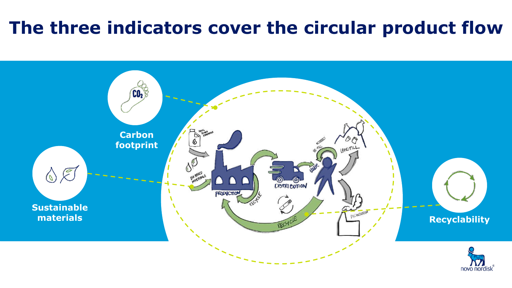#### **The three indicators cover the circular product flow**

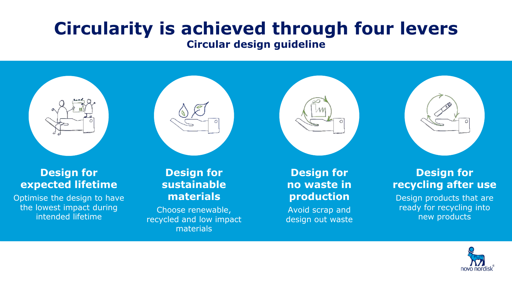## **Circularity is achieved through four levers**

**Circular design guideline**



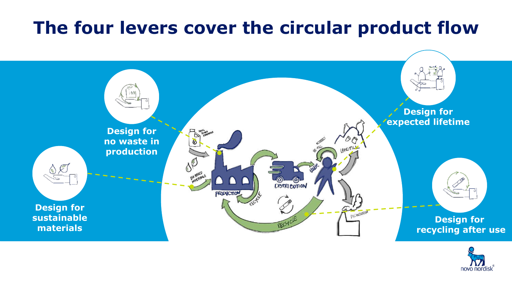## **The four levers cover the circular product flow**



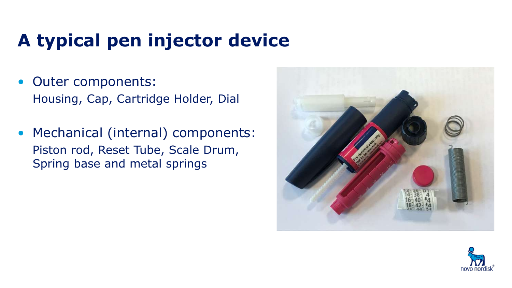## **A typical pen injector device**

- Outer components: Housing, Cap, Cartridge Holder, Dial
- Mechanical (internal) components: Piston rod, Reset Tube, Scale Drum, Spring base and metal springs



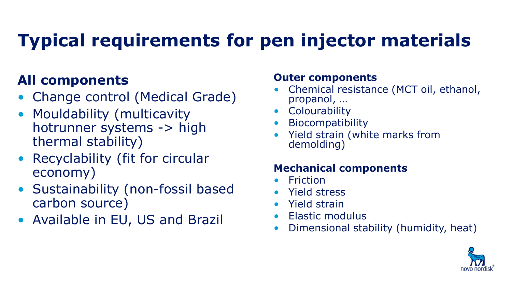## **Typical requirements for pen injector materials**

#### **All components**

- Change control (Medical Grade)
- Mouldability (multicavity hotrunner systems -> high thermal stability)
- Recyclability (fit for circular economy)
- Sustainability (non-fossil based carbon source)
- Available in EU, US and Brazil

#### **Outer components**

- Chemical resistance (MCT oil, ethanol, propanol, …
- **Colourability**
- Biocompatibility
- Yield strain (white marks from demolding)

#### **Mechanical components**

- **Friction**
- Yield stress
- Yield strain
- Elastic modulus
- Dimensional stability (humidity, heat)

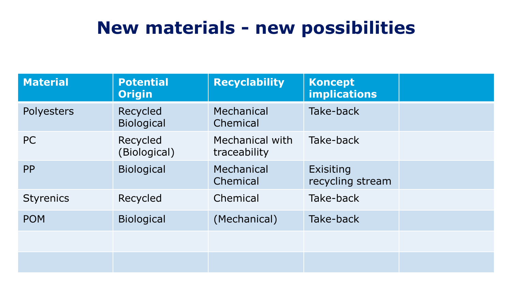#### **New materials - new possibilities**

| <b>Material</b>  | <b>Potential</b><br><b>Origin</b> | <b>Recyclability</b>            | <b>Koncept</b><br><b>implications</b> |  |
|------------------|-----------------------------------|---------------------------------|---------------------------------------|--|
| Polyesters       | Recycled<br><b>Biological</b>     | Mechanical<br>Chemical          | Take-back                             |  |
| <b>PC</b>        | Recycled<br>(Biological)          | Mechanical with<br>traceability | Take-back                             |  |
| <b>PP</b>        | <b>Biological</b>                 | Mechanical<br>Chemical          | Exisiting<br>recycling stream         |  |
| <b>Styrenics</b> | Recycled                          | Chemical                        | Take-back                             |  |
| <b>POM</b>       | <b>Biological</b>                 | (Mechanical)                    | Take-back                             |  |
|                  |                                   |                                 |                                       |  |
|                  |                                   |                                 |                                       |  |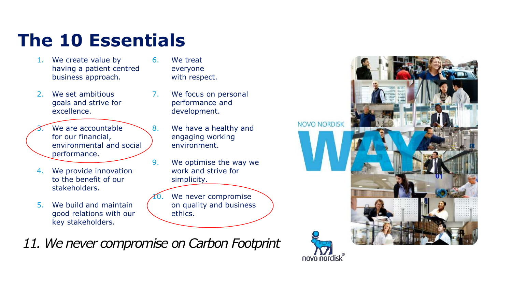## **The 10 Essentials**

- 1. We create value by having a patient centred business approach.
- 2. We set ambitious goals and strive for excellence.
	- We are accountable for our financial, environmental and social performance.
- 4. We provide innovation to the benefit of our stakeholders.
- 5. We build and maintain good relations with our key stakeholders.
- 6. We treat everyone with respect.
- 7. We focus on personal performance and development.
- 8. We have a healthy and engaging working environment.
- 9. We optimise the way we work and strive for simplicity.
	- We never compromise on quality and business ethics.

*11. We never compromise on Carbon Footprint*

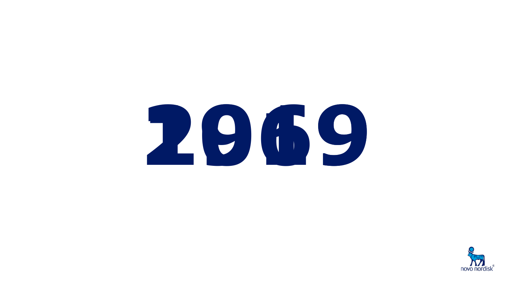# **196**